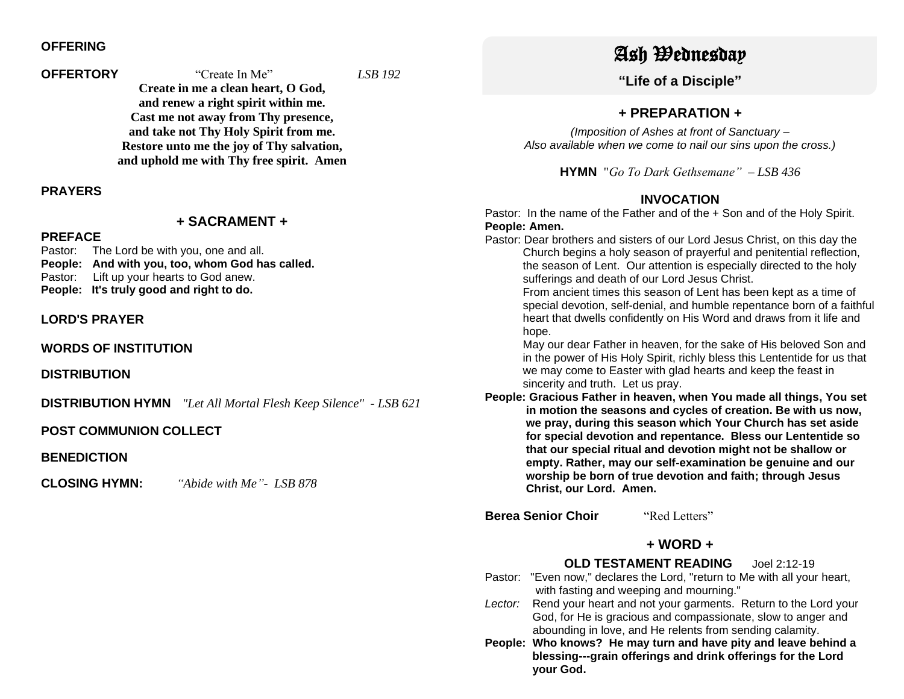## **OFFERING**

## **OFFERTORY** "Create In Me" *LSB 192* **Create in me a clean heart, O God, and renew a right spirit within me. Cast me not away from Thy presence, and take not Thy Holy Spirit from me. Restore unto me the joy of Thy salvation, and uphold me with Thy free spirit. Amen**

**PRAYERS**

#### **+ SACRAMENT +**

## **PREFACE**

Pastor: The Lord be with you, one and all. **People: And with you, too, whom God has called.** Pastor: Lift up your hearts to God anew. **People: It's truly good and right to do.**

#### **LORD'S PRAYER**

**WORDS OF INSTITUTION**

**DISTRIBUTION**

**DISTRIBUTION HYMN** *"Let All Mortal Flesh Keep Silence" - LSB 621*

#### **POST COMMUNION COLLECT**

**BENEDICTION**

**CLOSING HYMN:** *"Abide with Me"- LSB 878*

# Ash Wednesday

**"Life of a Disciple"**

# **+ PREPARATION +**

*(Imposition of Ashes at front of Sanctuary – Also available when we come to nail our sins upon the cross.)*

**HYMN** "*Go To Dark Gethsemane" – LSB 436*

# **INVOCATION**

Pastor: In the name of the Father and of the + Son and of the Holy Spirit. **People: Amen.**

Pastor: Dear brothers and sisters of our Lord Jesus Christ, on this day the Church begins a holy season of prayerful and penitential reflection, the season of Lent. Our attention is especially directed to the holy sufferings and death of our Lord Jesus Christ.

 From ancient times this season of Lent has been kept as a time of special devotion, self-denial, and humble repentance born of a faithful heart that dwells confidently on His Word and draws from it life and hope.

 May our dear Father in heaven, for the sake of His beloved Son and in the power of His Holy Spirit, richly bless this Lententide for us that we may come to Easter with glad hearts and keep the feast in sincerity and truth. Let us pray.

**People: Gracious Father in heaven, when You made all things, You set in motion the seasons and cycles of creation. Be with us now, we pray, during this season which Your Church has set aside for special devotion and repentance. Bless our Lententide so that our special ritual and devotion might not be shallow or empty. Rather, may our self-examination be genuine and our worship be born of true devotion and faith; through Jesus Christ, our Lord. Amen.**

**Berea Senior Choir** "Red Letters"

# **+ WORD +**

## **OLD TESTAMENT READING** Joel 2:12-19

- Pastor: "Even now," declares the Lord, "return to Me with all your heart, with fasting and weeping and mourning."
- Lector: Rend your heart and not your garments. Return to the Lord your God, for He is gracious and compassionate, slow to anger and abounding in love, and He relents from sending calamity.
- **People: Who knows? He may turn and have pity and leave behind a blessing---grain offerings and drink offerings for the Lord your God.**